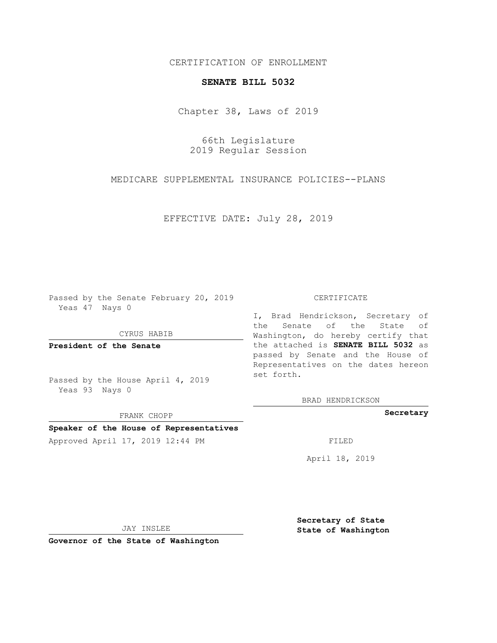CERTIFICATION OF ENROLLMENT

## **SENATE BILL 5032**

Chapter 38, Laws of 2019

66th Legislature 2019 Regular Session

MEDICARE SUPPLEMENTAL INSURANCE POLICIES--PLANS

EFFECTIVE DATE: July 28, 2019

Passed by the Senate February 20, 2019 Yeas 47 Nays 0

CYRUS HABIB

**President of the Senate**

Passed by the House April 4, 2019 Yeas 93 Nays 0

FRANK CHOPP

## **Speaker of the House of Representatives**

Approved April 17, 2019 12:44 PM

## CERTIFICATE

I, Brad Hendrickson, Secretary of the Senate of the State of Washington, do hereby certify that the attached is **SENATE BILL 5032** as passed by Senate and the House of Representatives on the dates hereon set forth.

BRAD HENDRICKSON

**Secretary**

April 18, 2019

JAY INSLEE

**Governor of the State of Washington**

**Secretary of State State of Washington**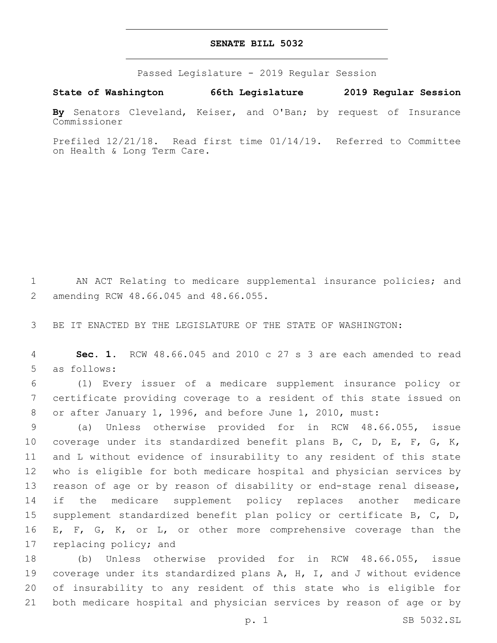## **SENATE BILL 5032**

Passed Legislature - 2019 Regular Session

**State of Washington 66th Legislature 2019 Regular Session**

**By** Senators Cleveland, Keiser, and O'Ban; by request of Insurance Commissioner

Prefiled 12/21/18. Read first time 01/14/19. Referred to Committee on Health & Long Term Care.

1 AN ACT Relating to medicare supplemental insurance policies; and amending RCW 48.66.045 and 48.66.055.2

3 BE IT ENACTED BY THE LEGISLATURE OF THE STATE OF WASHINGTON:

4 **Sec. 1.** RCW 48.66.045 and 2010 c 27 s 3 are each amended to read 5 as follows:

6 (1) Every issuer of a medicare supplement insurance policy or 7 certificate providing coverage to a resident of this state issued on 8 or after January 1, 1996, and before June 1, 2010, must:

 (a) Unless otherwise provided for in RCW 48.66.055, issue 10 coverage under its standardized benefit plans B, C, D, E, F, G, K, and L without evidence of insurability to any resident of this state who is eligible for both medicare hospital and physician services by reason of age or by reason of disability or end-stage renal disease, 14 if the medicare supplement policy replaces another medicare supplement standardized benefit plan policy or certificate B, C, D, E, F, G, K, or L, or other more comprehensive coverage than the 17 replacing policy; and

 (b) Unless otherwise provided for in RCW 48.66.055, issue coverage under its standardized plans A, H, I, and J without evidence of insurability to any resident of this state who is eligible for both medicare hospital and physician services by reason of age or by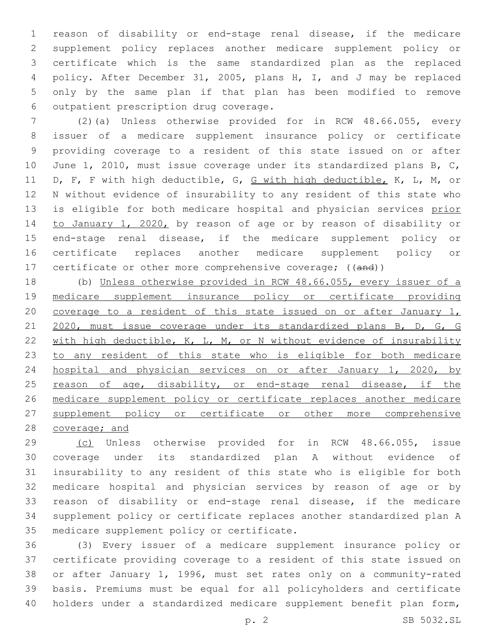reason of disability or end-stage renal disease, if the medicare supplement policy replaces another medicare supplement policy or certificate which is the same standardized plan as the replaced policy. After December 31, 2005, plans H, I, and J may be replaced only by the same plan if that plan has been modified to remove 6 outpatient prescription drug coverage.

 (2)(a) Unless otherwise provided for in RCW 48.66.055, every issuer of a medicare supplement insurance policy or certificate providing coverage to a resident of this state issued on or after June 1, 2010, must issue coverage under its standardized plans B, C, D, F, F with high deductible, G, G with high deductible, K, L, M, or N without evidence of insurability to any resident of this state who 13 is eligible for both medicare hospital and physician services prior to January 1, 2020, by reason of age or by reason of disability or end-stage renal disease, if the medicare supplement policy or certificate replaces another medicare supplement policy or 17 certificate or other more comprehensive coverage; ((and))

 (b) Unless otherwise provided in RCW 48.66.055, every issuer of a medicare supplement insurance policy or certificate providing 20 coverage to a resident of this state issued on or after January 1, 21 2020, must issue coverage under its standardized plans B, D, G, G 22 with high deductible, K, L, M, or N without evidence of insurability 23 to any resident of this state who is eligible for both medicare hospital and physician services on or after January 1, 2020, by 25 reason of age, disability, or end-stage renal disease, if the medicare supplement policy or certificate replaces another medicare supplement policy or certificate or other more comprehensive 28 coverage; and

 (c) Unless otherwise provided for in RCW 48.66.055, issue coverage under its standardized plan A without evidence of insurability to any resident of this state who is eligible for both medicare hospital and physician services by reason of age or by reason of disability or end-stage renal disease, if the medicare supplement policy or certificate replaces another standardized plan A 35 medicare supplement policy or certificate.

 (3) Every issuer of a medicare supplement insurance policy or certificate providing coverage to a resident of this state issued on or after January 1, 1996, must set rates only on a community-rated basis. Premiums must be equal for all policyholders and certificate holders under a standardized medicare supplement benefit plan form,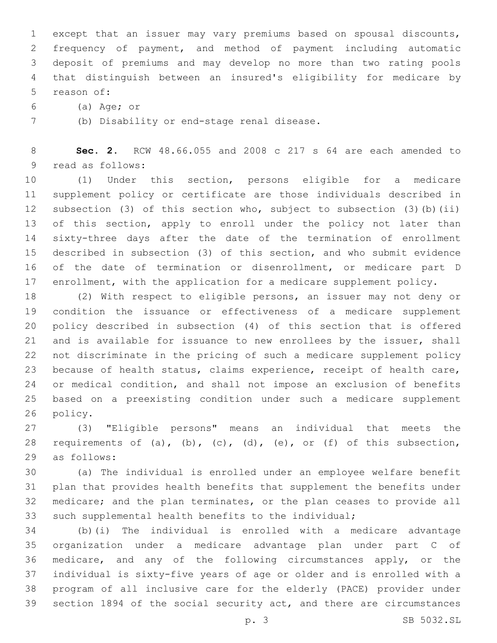except that an issuer may vary premiums based on spousal discounts, frequency of payment, and method of payment including automatic deposit of premiums and may develop no more than two rating pools that distinguish between an insured's eligibility for medicare by 5 reason of:

(a) Age; or

(b) Disability or end-stage renal disease.7

 **Sec. 2.** RCW 48.66.055 and 2008 c 217 s 64 are each amended to 9 read as follows:

 (1) Under this section, persons eligible for a medicare supplement policy or certificate are those individuals described in subsection (3) of this section who, subject to subsection (3)(b)(ii) 13 of this section, apply to enroll under the policy not later than sixty-three days after the date of the termination of enrollment described in subsection (3) of this section, and who submit evidence of the date of termination or disenrollment, or medicare part D enrollment, with the application for a medicare supplement policy.

 (2) With respect to eligible persons, an issuer may not deny or condition the issuance or effectiveness of a medicare supplement policy described in subsection (4) of this section that is offered and is available for issuance to new enrollees by the issuer, shall not discriminate in the pricing of such a medicare supplement policy because of health status, claims experience, receipt of health care, or medical condition, and shall not impose an exclusion of benefits based on a preexisting condition under such a medicare supplement 26 policy.

 (3) "Eligible persons" means an individual that meets the 28 requirements of (a), (b), (c), (d), (e), or (f) of this subsection, 29 as follows:

 (a) The individual is enrolled under an employee welfare benefit plan that provides health benefits that supplement the benefits under medicare; and the plan terminates, or the plan ceases to provide all such supplemental health benefits to the individual;

 (b)(i) The individual is enrolled with a medicare advantage organization under a medicare advantage plan under part C of medicare, and any of the following circumstances apply, or the individual is sixty-five years of age or older and is enrolled with a program of all inclusive care for the elderly (PACE) provider under section 1894 of the social security act, and there are circumstances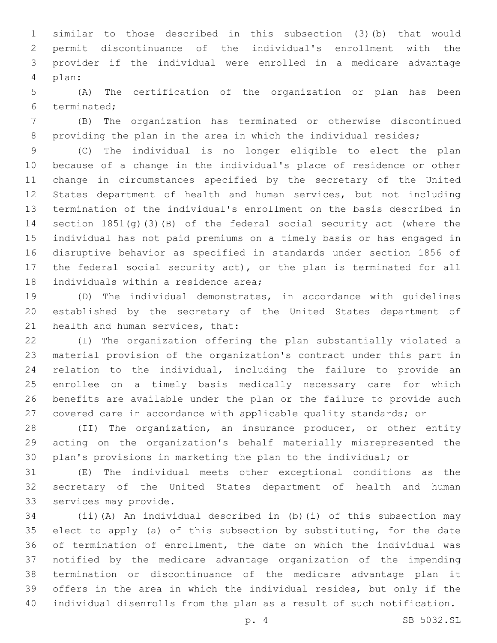similar to those described in this subsection (3)(b) that would permit discontinuance of the individual's enrollment with the provider if the individual were enrolled in a medicare advantage plan:4

 (A) The certification of the organization or plan has been 6 terminated:

 (B) The organization has terminated or otherwise discontinued 8 providing the plan in the area in which the individual resides;

 (C) The individual is no longer eligible to elect the plan because of a change in the individual's place of residence or other change in circumstances specified by the secretary of the United States department of health and human services, but not including termination of the individual's enrollment on the basis described in section 1851(g)(3)(B) of the federal social security act (where the individual has not paid premiums on a timely basis or has engaged in disruptive behavior as specified in standards under section 1856 of the federal social security act), or the plan is terminated for all 18 individuals within a residence area;

 (D) The individual demonstrates, in accordance with guidelines established by the secretary of the United States department of 21 health and human services, that:

 (I) The organization offering the plan substantially violated a material provision of the organization's contract under this part in relation to the individual, including the failure to provide an enrollee on a timely basis medically necessary care for which benefits are available under the plan or the failure to provide such covered care in accordance with applicable quality standards; or

 (II) The organization, an insurance producer, or other entity acting on the organization's behalf materially misrepresented the plan's provisions in marketing the plan to the individual; or

 (E) The individual meets other exceptional conditions as the secretary of the United States department of health and human 33 services may provide.

 (ii)(A) An individual described in (b)(i) of this subsection may elect to apply (a) of this subsection by substituting, for the date of termination of enrollment, the date on which the individual was notified by the medicare advantage organization of the impending termination or discontinuance of the medicare advantage plan it offers in the area in which the individual resides, but only if the individual disenrolls from the plan as a result of such notification.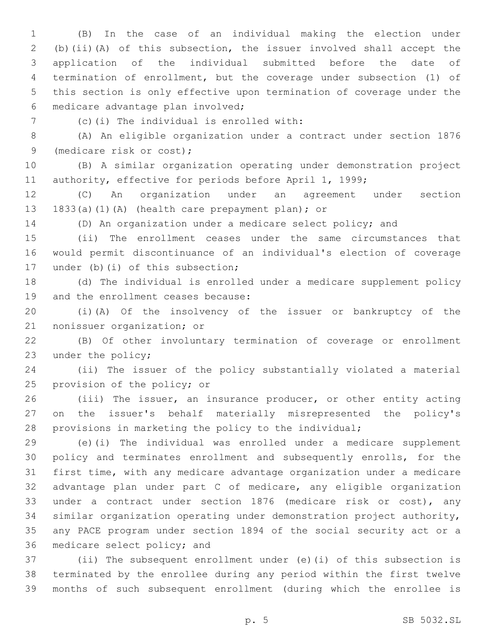(B) In the case of an individual making the election under (b)(ii)(A) of this subsection, the issuer involved shall accept the application of the individual submitted before the date of termination of enrollment, but the coverage under subsection (1) of this section is only effective upon termination of coverage under the medicare advantage plan involved;6

(c)(i) The individual is enrolled with:7

 (A) An eligible organization under a contract under section 1876 9 (medicare risk or cost);

 (B) A similar organization operating under demonstration project 11 authority, effective for periods before April 1, 1999;

 (C) An organization under an agreement under section 13 1833(a)(1)(A) (health care prepayment plan); or

(D) An organization under a medicare select policy; and

 (ii) The enrollment ceases under the same circumstances that would permit discontinuance of an individual's election of coverage 17 under (b)(i) of this subsection;

 (d) The individual is enrolled under a medicare supplement policy 19 and the enrollment ceases because:

 (i)(A) Of the insolvency of the issuer or bankruptcy of the 21 nonissuer organization; or

 (B) Of other involuntary termination of coverage or enrollment 23 under the policy;

 (ii) The issuer of the policy substantially violated a material 25 provision of the policy; or

 (iii) The issuer, an insurance producer, or other entity acting on the issuer's behalf materially misrepresented the policy's provisions in marketing the policy to the individual;

 (e)(i) The individual was enrolled under a medicare supplement policy and terminates enrollment and subsequently enrolls, for the first time, with any medicare advantage organization under a medicare advantage plan under part C of medicare, any eligible organization under a contract under section 1876 (medicare risk or cost), any similar organization operating under demonstration project authority, any PACE program under section 1894 of the social security act or a 36 medicare select policy; and

 (ii) The subsequent enrollment under (e)(i) of this subsection is terminated by the enrollee during any period within the first twelve months of such subsequent enrollment (during which the enrollee is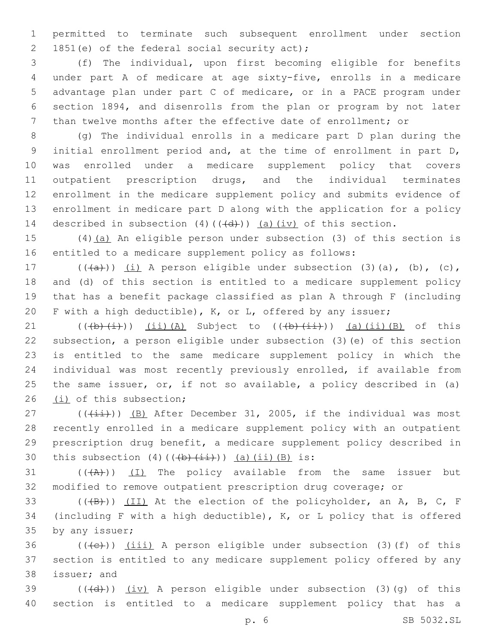permitted to terminate such subsequent enrollment under section 2 1851(e) of the federal social security act);

 (f) The individual, upon first becoming eligible for benefits under part A of medicare at age sixty-five, enrolls in a medicare advantage plan under part C of medicare, or in a PACE program under section 1894, and disenrolls from the plan or program by not later than twelve months after the effective date of enrollment; or

 (g) The individual enrolls in a medicare part D plan during the initial enrollment period and, at the time of enrollment in part D, was enrolled under a medicare supplement policy that covers outpatient prescription drugs, and the individual terminates enrollment in the medicare supplement policy and submits evidence of enrollment in medicare part D along with the application for a policy 14 described in subsection  $(4)$   $((+d))$   $(a)$   $(iy)$  of this section.

 (4)(a) An eligible person under subsection (3) of this section is entitled to a medicare supplement policy as follows:

 $((+a+))$   $(i)$  A person eligible under subsection (3)(a), (b), (c), and (d) of this section is entitled to a medicare supplement policy that has a benefit package classified as plan A through F (including F with a high deductible), K, or L, offered by any issuer;

21 ( $(\frac{1}{b}(\frac{i}{1}))$   $(i)$   $(A)$  Subject to  $((\frac{1}{b}(\frac{i}{1})))$   $(a)$   $(ii)$   $(B)$  of this subsection, a person eligible under subsection (3)(e) of this section is entitled to the same medicare supplement policy in which the individual was most recently previously enrolled, if available from the same issuer, or, if not so available, a policy described in (a) 26 (i) of this subsection;

 $(1)$  ( $(\frac{1+i}{1})$ ) (B) After December 31, 2005, if the individual was most recently enrolled in a medicare supplement policy with an outpatient prescription drug benefit, a medicare supplement policy described in 30 this subsection (4)( $(\frac{1}{b}(\frac{1}{1})^2)$ ) (a)(ii)(B) is:

 ( $(A)$ ))  $(I)$  The policy available from the same issuer but modified to remove outpatient prescription drug coverage; or

33  $((+B)^2)$   $(II)$  At the election of the policyholder, an A, B, C, F (including F with a high deductible), K, or L policy that is offered 35 by any issuer;

 ((((e))) (iii) A person eligible under subsection (3)(f) of this section is entitled to any medicare supplement policy offered by any 38 issuer; and

39  $((\{d\})$   $(iv)$  A person eligible under subsection (3)(q) of this section is entitled to a medicare supplement policy that has a

p. 6 SB 5032.SL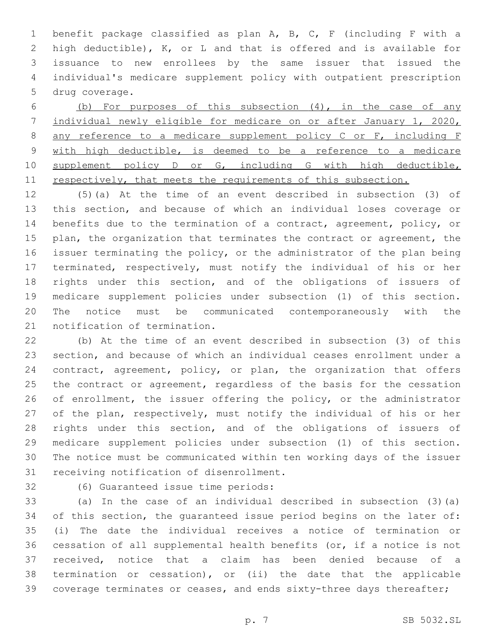benefit package classified as plan A, B, C, F (including F with a high deductible), K, or L and that is offered and is available for issuance to new enrollees by the same issuer that issued the individual's medicare supplement policy with outpatient prescription 5 drug coverage.

 (b) For purposes of this subsection (4), in the case of any individual newly eligible for medicare on or after January 1, 2020, any reference to a medicare supplement policy C or F, including F with high deductible, is deemed to be a reference to a medicare 10 supplement policy D or G, including G with high deductible, 11 respectively, that meets the requirements of this subsection.

 (5)(a) At the time of an event described in subsection (3) of this section, and because of which an individual loses coverage or benefits due to the termination of a contract, agreement, policy, or 15 plan, the organization that terminates the contract or agreement, the issuer terminating the policy, or the administrator of the plan being terminated, respectively, must notify the individual of his or her rights under this section, and of the obligations of issuers of medicare supplement policies under subsection (1) of this section. The notice must be communicated contemporaneously with the 21 notification of termination.

 (b) At the time of an event described in subsection (3) of this section, and because of which an individual ceases enrollment under a 24 contract, agreement, policy, or plan, the organization that offers the contract or agreement, regardless of the basis for the cessation of enrollment, the issuer offering the policy, or the administrator of the plan, respectively, must notify the individual of his or her rights under this section, and of the obligations of issuers of medicare supplement policies under subsection (1) of this section. The notice must be communicated within ten working days of the issuer 31 receiving notification of disenrollment.

32 (6) Guaranteed issue time periods:

 (a) In the case of an individual described in subsection (3)(a) of this section, the guaranteed issue period begins on the later of: (i) The date the individual receives a notice of termination or cessation of all supplemental health benefits (or, if a notice is not received, notice that a claim has been denied because of a termination or cessation), or (ii) the date that the applicable 39 coverage terminates or ceases, and ends sixty-three days thereafter;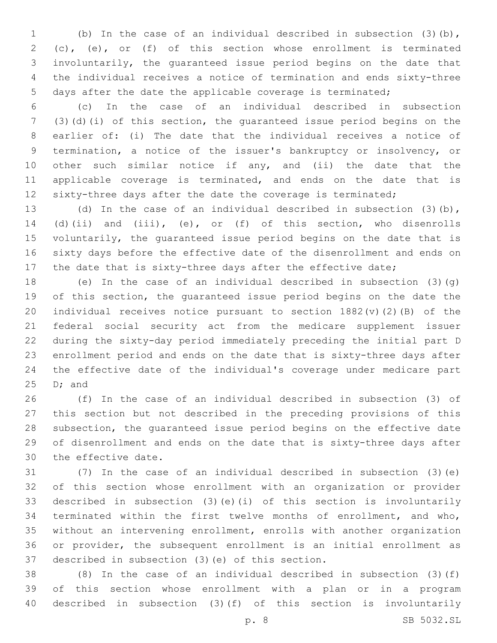(b) In the case of an individual described in subsection (3)(b), (c), (e), or (f) of this section whose enrollment is terminated involuntarily, the guaranteed issue period begins on the date that the individual receives a notice of termination and ends sixty-three days after the date the applicable coverage is terminated;

 (c) In the case of an individual described in subsection (3)(d)(i) of this section, the guaranteed issue period begins on the earlier of: (i) The date that the individual receives a notice of termination, a notice of the issuer's bankruptcy or insolvency, or 10 other such similar notice if any, and (ii) the date that the applicable coverage is terminated, and ends on the date that is 12 sixty-three days after the date the coverage is terminated;

 (d) In the case of an individual described in subsection (3)(b), (d)(ii) and (iii), (e), or (f) of this section, who disenrolls voluntarily, the guaranteed issue period begins on the date that is sixty days before the effective date of the disenrollment and ends on 17 the date that is sixty-three days after the effective date;

 (e) In the case of an individual described in subsection (3)(g) of this section, the guaranteed issue period begins on the date the individual receives notice pursuant to section 1882(v)(2)(B) of the federal social security act from the medicare supplement issuer during the sixty-day period immediately preceding the initial part D enrollment period and ends on the date that is sixty-three days after the effective date of the individual's coverage under medicare part D; and

 (f) In the case of an individual described in subsection (3) of this section but not described in the preceding provisions of this subsection, the guaranteed issue period begins on the effective date of disenrollment and ends on the date that is sixty-three days after 30 the effective date.

 (7) In the case of an individual described in subsection (3)(e) of this section whose enrollment with an organization or provider described in subsection (3)(e)(i) of this section is involuntarily terminated within the first twelve months of enrollment, and who, without an intervening enrollment, enrolls with another organization or provider, the subsequent enrollment is an initial enrollment as 37 described in subsection (3)(e) of this section.

 (8) In the case of an individual described in subsection (3)(f) of this section whose enrollment with a plan or in a program described in subsection (3)(f) of this section is involuntarily